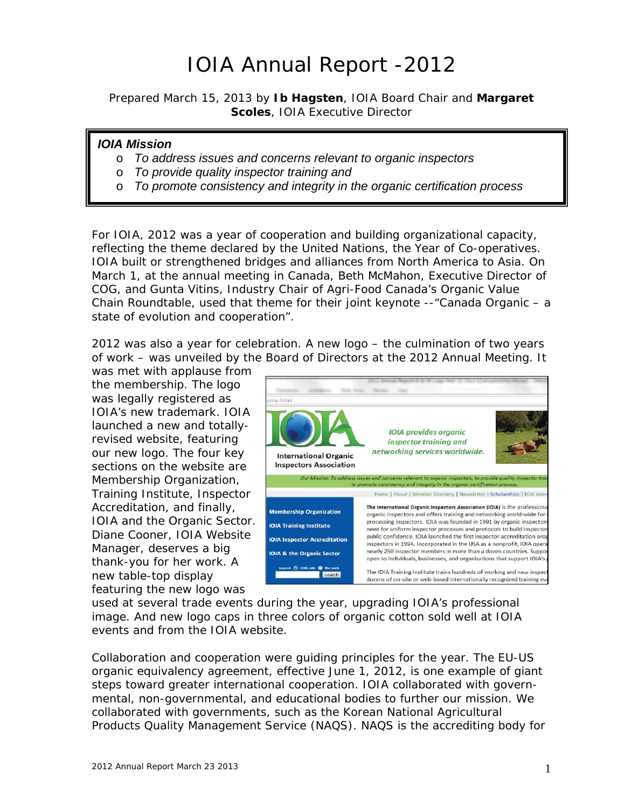## IOIA Annual Report -2012

*Prepared March 15, 2013 by Ib Hagsten, IOIA Board Chair and Margaret Scoles, IOIA Executive Director* 

### *IOIA Mission*

- o *To address issues and concerns relevant to organic inspectors*
- o *To provide quality inspector training and*
- o *To promote consistency and integrity in the organic certification process*

For IOIA, 2012 was a year of cooperation and building organizational capacity, reflecting the theme declared by the United Nations, the *Year of Co-operatives*. IOIA built or strengthened bridges and alliances from North America to Asia. On March 1, at the annual meeting in Canada, Beth McMahon, Executive Director of COG, and Gunta Vitins, Industry Chair of Agri-Food Canada's Organic Value Chain Roundtable, used that theme for their joint keynote --"Canada Organic – a state of evolution and cooperation".

2012 was also a year for celebration. A new logo – the culmination of two years of work – was unveiled by the Board of Directors at the 2012 Annual Meeting. It

was met with applause from the membership. The logo was legally registered as IOIA's new trademark. IOIA launched a new and totallyrevised website, featuring our new logo. The four key sections on the website are Membership Organization, Training Institute, Inspector Accreditation, and finally, IOIA and the Organic Sector. Diane Cooner, IOIA Website Manager, deserves a big thank-you for her work. A new table-top display featuring the new logo was



used at several trade events during the year, upgrading IOIA's professional image. And new logo caps in three colors of organic cotton sold well at IOIA events and from the IOIA website.

Collaboration and cooperation were guiding principles for the year. The EU-US organic equivalency agreement, effective June 1, 2012, is one example of giant steps toward greater international cooperation. IOIA collaborated with governmental, non-governmental, and educational bodies to further our mission. We collaborated with governments, such as the Korean National Agricultural Products Quality Management Service (NAQS). NAQS is the accrediting body for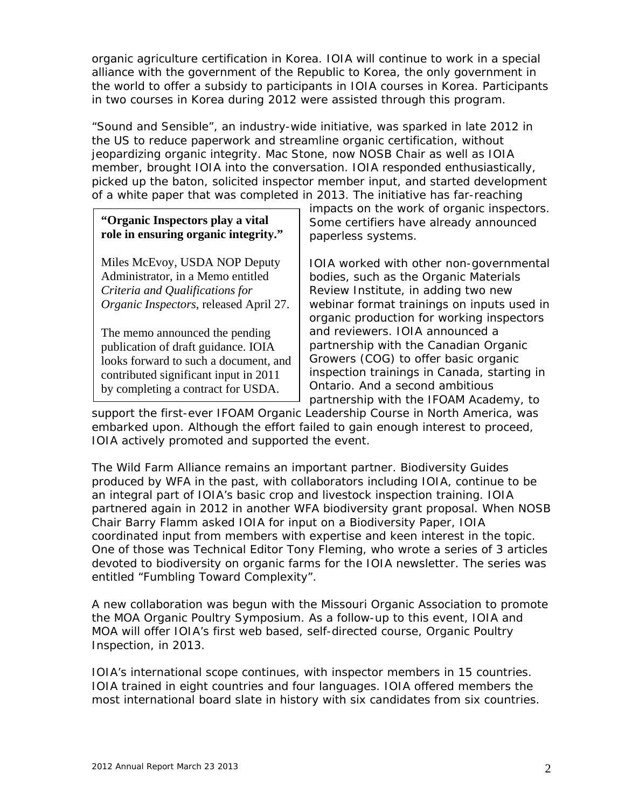organic agriculture certification in Korea. IOIA will continue to work in a special alliance with the government of the Republic to Korea, the only government in the world to offer a subsidy to participants in IOIA courses in Korea. Participants in two courses in Korea during 2012 were assisted through this program.

"Sound and Sensible", an industry-wide initiative, was sparked in late 2012 in the US to reduce paperwork and streamline organic certification, without jeopardizing organic integrity. Mac Stone, now NOSB Chair as well as IOIA member, brought IOIA into the conversation. IOIA responded enthusiastically, picked up the baton, solicited inspector member input, and started development of a white paper that was completed in 2013. The initiative has far-reaching

### **"Organic Inspectors play a vital role in ensuring organic integrity."**

Miles McEvoy, USDA NOP Deputy Administrator, in a Memo entitled *Criteria and Qualifications for Organic Inspectors*, released April 27.

The memo announced the pending publication of draft guidance. IOIA looks forward to such a document, and contributed significant input in 2011 by completing a contract for USDA.

impacts on the work of organic inspectors. Some certifiers have already announced paperless systems.

IOIA worked with other non-governmental bodies, such as the Organic Materials Review Institute, in adding two new webinar format trainings on inputs used in organic production for working inspectors and reviewers. IOIA announced a partnership with the Canadian Organic Growers (COG) to offer basic organic inspection trainings in Canada, starting in Ontario. And a second ambitious partnership with the IFOAM Academy, to

support the first-ever IFOAM Organic Leadership Course in North America, was embarked upon. Although the effort failed to gain enough interest to proceed, IOIA actively promoted and supported the event.

The Wild Farm Alliance remains an important partner. Biodiversity Guides produced by WFA in the past, with collaborators including IOIA, continue to be an integral part of IOIA's basic crop and livestock inspection training. IOIA partnered again in 2012 in another WFA biodiversity grant proposal. When NOSB Chair Barry Flamm asked IOIA for input on a Biodiversity Paper, IOIA coordinated input from members with expertise and keen interest in the topic. One of those was Technical Editor Tony Fleming, who wrote a series of 3 articles devoted to biodiversity on organic farms for the IOIA newsletter. The series was entitled "Fumbling Toward Complexity".

A new collaboration was begun with the Missouri Organic Association to promote the MOA Organic Poultry Symposium. As a follow-up to this event, IOIA and MOA will offer IOIA's first web based, self-directed course, *Organic Poultry Inspection*, in 2013.

IOIA's international scope continues, with inspector members in 15 countries. IOIA trained in eight countries and four languages. IOIA offered members the most international board slate in history with six candidates from six countries.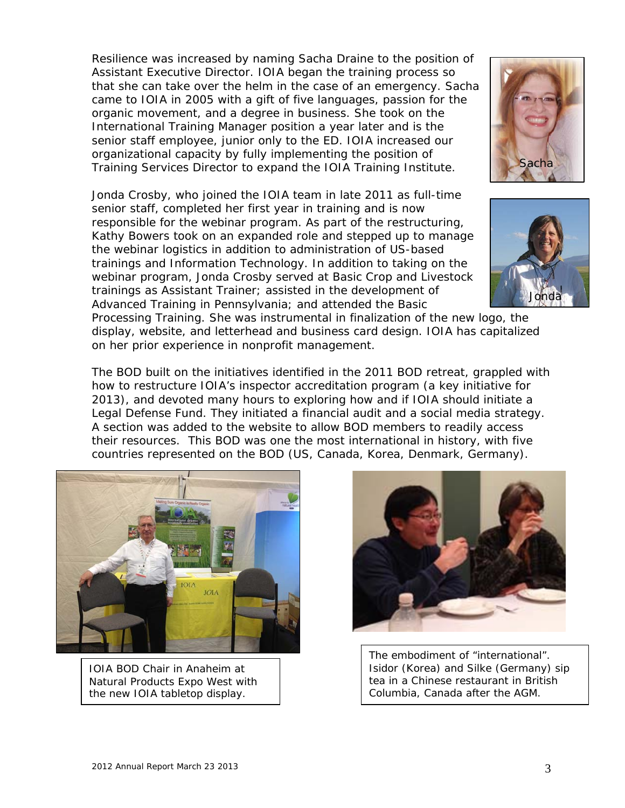Resilience was increased by naming Sacha Draine to the position of Assistant Executive Director. IOIA began the training process so that she can take over the helm in the case of an emergency. Sacha came to IOIA in 2005 with a gift of five languages, passion for the organic movement, and a degree in business. She took on the International Training Manager position a year later and is the senior staff employee, junior only to the ED. IOIA increased our organizational capacity by fully implementing the position of Training Services Director to expand the IOIA Training Institute.

Jonda Crosby, who joined the IOIA team in late 2011 as full-time senior staff, completed her first year in training and is now responsible for the webinar program. As part of the restructuring, Kathy Bowers took on an expanded role and stepped up to manage the webinar logistics in addition to administration of US-based trainings and Information Technology. In addition to taking on the webinar program, Jonda Crosby served at Basic Crop and Livestock trainings as Assistant Trainer; assisted in the development of Advanced Training in Pennsylvania; and attended the Basic





Processing Training. She was instrumental in finalization of the new logo, the display, website, and letterhead and business card design. IOIA has capitalized on her prior experience in nonprofit management.

The BOD built on the initiatives identified in the 2011 BOD retreat, grappled with how to restructure IOIA's inspector accreditation program (a key initiative for 2013), and devoted many hours to exploring how and if IOIA should initiate a Legal Defense Fund. They initiated a financial audit and a social media strategy. A section was added to the website to allow BOD members to readily access their resources. This BOD was one the most international in history, with five countries represented on the BOD (US, Canada, Korea, Denmark, Germany).



IOIA BOD Chair in Anaheim at Natural Products Expo West with the new IOIA tabletop display.



The embodiment of "international". Isidor (Korea) and Silke (Germany) sip tea in a Chinese restaurant in British Columbia, Canada after the AGM.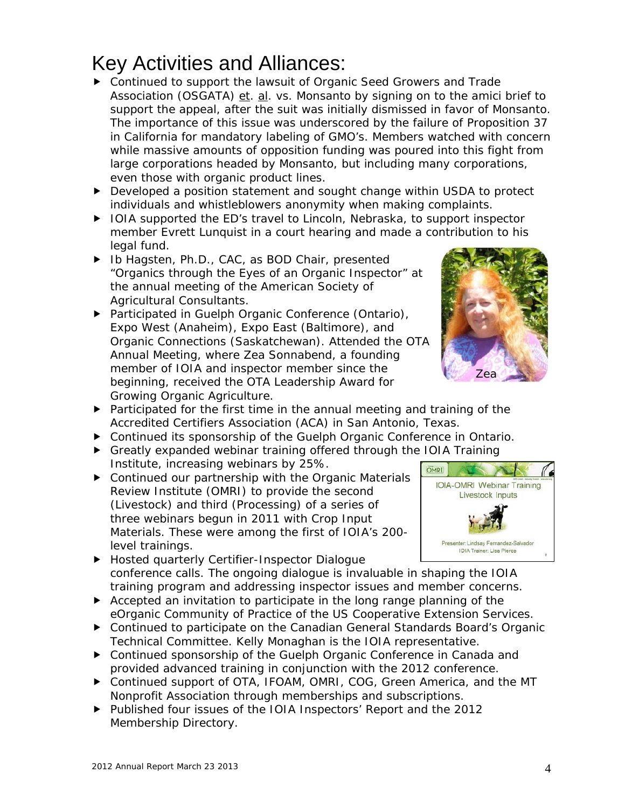## Key Activities and Alliances:

- ▶ Continued to support the lawsuit of Organic Seed Growers and Trade Association (OSGATA) et. al. vs. Monsanto by signing on to the *amici brief* to support the appeal, after the suit was initially dismissed in favor of Monsanto. The importance of this issue was underscored by the failure of Proposition 37 in California for mandatory labeling of GMO's. Members watched with concern while massive amounts of opposition funding was poured into this fight from large corporations headed by Monsanto, but including many corporations, even those with organic product lines.
- ▶ Developed a position statement and sought change within USDA to protect individuals and whistleblowers anonymity when making complaints.
- ▶ IOIA supported the ED's travel to Lincoln, Nebraska, to support inspector member Evrett Lunquist in a court hearing and made a contribution to his legal fund.
- ▶ Ib Hagsten, Ph.D., CAC, as BOD Chair, presented "Organics through the Eyes of an Organic Inspector" at the annual meeting of the American Society of Agricultural Consultants.
- ▶ Participated in Guelph Organic Conference (Ontario), Expo West (Anaheim), Expo East (Baltimore), and Organic Connections (Saskatchewan). Attended the OTA Annual Meeting, where Zea Sonnabend, a founding member of IOIA and inspector member since the beginning, received the OTA Leadership Award for Growing Organic Agriculture.
- $\blacktriangleright$  Participated for the first time in the annual meeting and training of the Accredited Certifiers Association (ACA) in San Antonio, Texas.
- Continued its sponsorship of the Guelph Organic Conference in Ontario.
- Greatly expanded webinar training offered through the IOIA Training Institute, increasing webinars by 25%.
- ▶ Continued our partnership with the Organic Materials Review Institute (OMRI) to provide the second (Livestock) and third (Processing) of a series of three webinars begun in 2011 with Crop Input Materials. These were among the first of IOIA's 200 level trainings.
- ▶ Hosted quarterly Certifier-Inspector Dialogue conference calls. The ongoing dialogue is invaluable in shaping the IOIA training program and addressing inspector issues and member concerns.
- Accepted an invitation to participate in the long range planning of the eOrganic Community of Practice of the US Cooperative Extension Services.
- ▶ Continued to participate on the Canadian General Standards Board's Organic Technical Committee. Kelly Monaghan is the IOIA representative.
- ▶ Continued sponsorship of the Guelph Organic Conference in Canada and provided advanced training in conjunction with the 2012 conference.
- ▶ Continued support of OTA, IFOAM, OMRI, COG, Green America, and the MT Nonprofit Association through memberships and subscriptions.
- ▶ Published four issues of the IOIA Inspectors' Report and the 2012 Membership Directory.



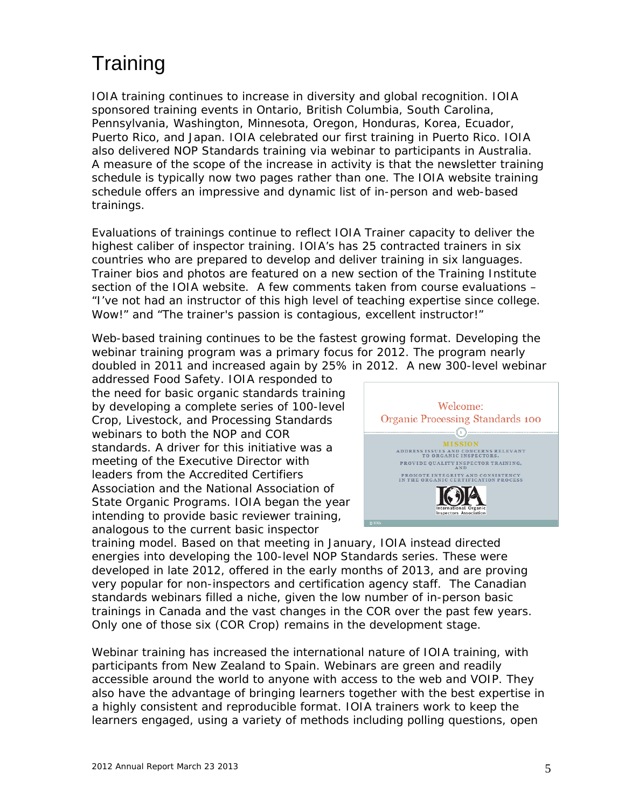## **Training**

IOIA training continues to increase in diversity and global recognition. IOIA sponsored training events in Ontario, British Columbia, South Carolina, Pennsylvania, Washington, Minnesota, Oregon, Honduras, Korea, Ecuador, Puerto Rico, and Japan. IOIA celebrated our first training in Puerto Rico. IOIA also delivered NOP Standards training via webinar to participants in Australia. A measure of the scope of the increase in activity is that the newsletter training schedule is typically now two pages rather than one. The IOIA website training schedule offers an impressive and dynamic list of in-person and web-based trainings.

Evaluations of trainings continue to reflect IOIA Trainer capacity to deliver the highest caliber of inspector training. IOIA's has 25 contracted trainers in six countries who are prepared to develop and deliver training in six languages. Trainer bios and photos are featured on a new section of the Training Institute section of the IOIA website. A few comments taken from course evaluations – *"I've not had an instructor of this high level of teaching expertise since college. Wow!"* and *"The trainer's passion is contagious, excellent instructor!"*

Web-based training continues to be the fastest growing format. Developing the webinar training program was a primary focus for 2012. The program nearly doubled in 2011 and increased again by 25% in 2012. A new 300-level webinar

addressed Food Safety. IOIA responded to the need for basic organic standards training by developing a complete series of 100-level Crop, Livestock, and Processing Standards webinars to both the NOP and COR standards. A driver for this initiative was a meeting of the Executive Director with leaders from the Accredited Certifiers Association and the National Association of State Organic Programs. IOIA began the year intending to provide basic reviewer training, analogous to the current basic inspector



training model. Based on that meeting in January, IOIA instead directed energies into developing the 100-level NOP Standards series. These were developed in late 2012, offered in the early months of 2013, and are proving very popular for non-inspectors and certification agency staff. The Canadian standards webinars filled a niche, given the low number of in-person basic trainings in Canada and the vast changes in the COR over the past few years. Only one of those six (COR Crop) remains in the development stage.

Webinar training has increased the international nature of IOIA training, with participants from New Zealand to Spain. Webinars are green and readily accessible around the world to anyone with access to the web and VOIP. They also have the advantage of bringing learners together with the best expertise in a highly consistent and reproducible format. IOIA trainers work to keep the learners engaged, using a variety of methods including polling questions, open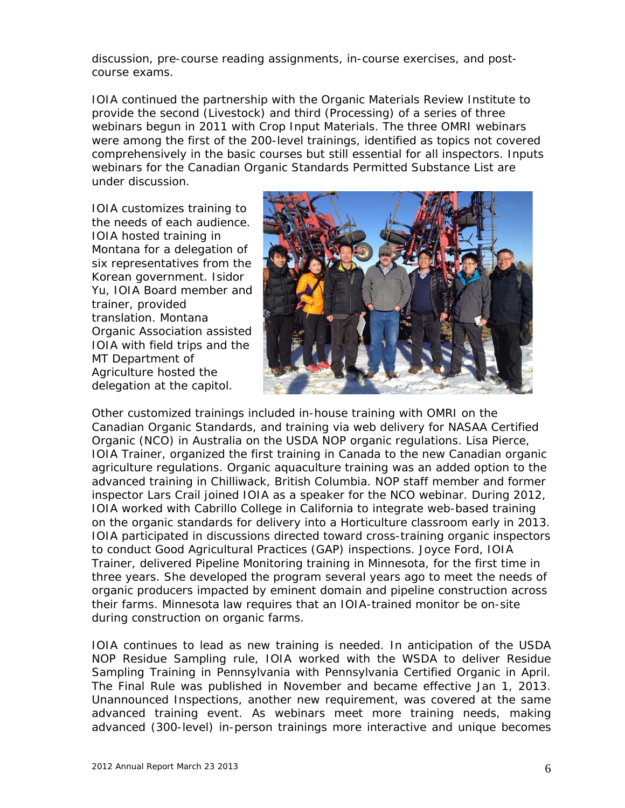discussion, pre-course reading assignments, in-course exercises, and postcourse exams.

IOIA continued the partnership with the Organic Materials Review Institute to provide the second (Livestock) and third (Processing) of a series of three webinars begun in 2011 with Crop Input Materials. The three OMRI webinars were among the first of the 200-level trainings, identified as topics not covered comprehensively in the basic courses but still essential for all inspectors. Inputs webinars for the Canadian Organic Standards Permitted Substance List are under discussion.

IOIA customizes training to the needs of each audience. IOIA hosted training in Montana for a delegation of six representatives from the Korean government. Isidor Yu, IOIA Board member and trainer, provided translation. Montana Organic Association assisted IOIA with field trips and the MT Department of Agriculture hosted the delegation at the capitol.



Other customized trainings included in-house training with OMRI on the Canadian Organic Standards, and training via web delivery for NASAA Certified Organic (NCO) in Australia on the USDA NOP organic regulations. Lisa Pierce, IOIA Trainer, organized the first training in Canada to the new Canadian organic agriculture regulations. Organic aquaculture training was an added option to the advanced training in Chilliwack, British Columbia. NOP staff member and former inspector Lars Crail joined IOIA as a speaker for the NCO webinar. During 2012, IOIA worked with Cabrillo College in California to integrate web-based training on the organic standards for delivery into a Horticulture classroom early in 2013. IOIA participated in discussions directed toward cross-training organic inspectors to conduct Good Agricultural Practices (GAP) inspections. Joyce Ford, IOIA Trainer, delivered Pipeline Monitoring training in Minnesota, for the first time in three years. She developed the program several years ago to meet the needs of organic producers impacted by eminent domain and pipeline construction across their farms. Minnesota law requires that an IOIA-trained monitor be on-site during construction on organic farms.

IOIA continues to lead as new training is needed. In anticipation of the USDA NOP Residue Sampling rule, IOIA worked with the WSDA to deliver Residue Sampling Training in Pennsylvania with Pennsylvania Certified Organic in April. The Final Rule was published in November and became effective Jan 1, 2013. Unannounced Inspections, another new requirement, was covered at the same advanced training event. As webinars meet more training needs, making advanced (300-level) in-person trainings more interactive and unique becomes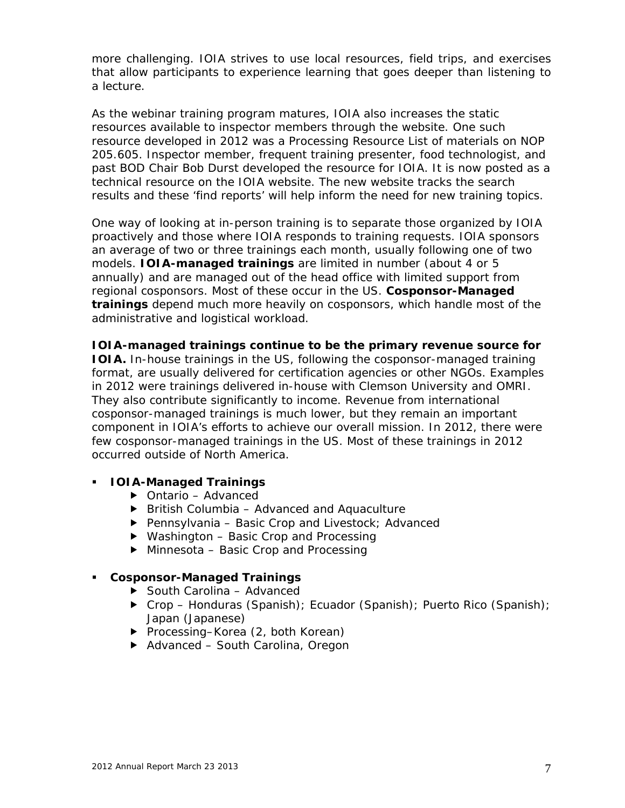more challenging. IOIA strives to use local resources, field trips, and exercises that allow participants to experience learning that goes deeper than listening to a lecture.

As the webinar training program matures, IOIA also increases the static resources available to inspector members through the website. One such resource developed in 2012 was a Processing Resource List of materials on NOP 205.605. Inspector member, frequent training presenter, food technologist, and past BOD Chair Bob Durst developed the resource for IOIA. It is now posted as a technical resource on the IOIA website. The new website tracks the search results and these 'find reports' will help inform the need for new training topics.

One way of looking at in-person training is to separate those organized by IOIA proactively and those where IOIA responds to training requests. IOIA sponsors an average of two or three trainings each month, usually following one of two models. **IOIA-managed trainings** are limited in number (about 4 or 5 annually) and are managed out of the head office with limited support from regional cosponsors. Most of these occur in the US. **Cosponsor-Managed trainings** depend much more heavily on cosponsors, which handle most of the administrative and logistical workload.

### **IOIA-managed trainings continue to be the primary revenue source for**

**IOIA.** In-house trainings in the US, following the cosponsor-managed training format, are usually delivered for certification agencies or other NGOs. Examples in 2012 were trainings delivered in-house with Clemson University and OMRI. They also contribute significantly to income. Revenue from international cosponsor-managed trainings is much lower, but they remain an important component in IOIA's efforts to achieve our overall mission. In 2012, there were few cosponsor-managed trainings in the US. Most of these trainings in 2012 occurred outside of North America.

### **IOIA-Managed Trainings**

- ▶ Ontario Advanced
- $\triangleright$  British Columbia Advanced and Aquaculture
- $\blacktriangleright$  Pennsylvania Basic Crop and Livestock; Advanced
- ▶ Washington Basic Crop and Processing
- ▶ Minnesota Basic Crop and Processing

#### **Cosponsor-Managed Trainings**

- ▶ South Carolina Advanced
- ▶ Crop Honduras (Spanish); Ecuador (Spanish); Puerto Rico (Spanish); Japan (Japanese)
- ▶ Processing–Korea (2, both Korean)
- ▶ Advanced South Carolina, Oregon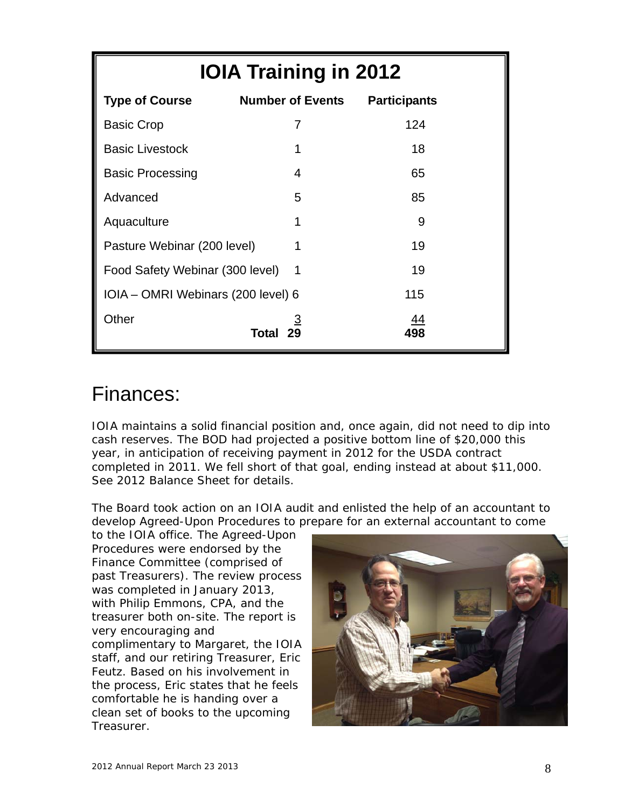| <b>IOIA Training in 2012</b>       |                         |                     |  |
|------------------------------------|-------------------------|---------------------|--|
| <b>Type of Course</b>              | <b>Number of Events</b> | <b>Participants</b> |  |
| <b>Basic Crop</b>                  | $\overline{7}$          | 124                 |  |
| <b>Basic Livestock</b>             | 1                       | 18                  |  |
| <b>Basic Processing</b>            | $\overline{4}$          | 65                  |  |
| Advanced                           | 5                       | 85                  |  |
| Aquaculture                        | 1                       | 9                   |  |
| Pasture Webinar (200 level)        | 1                       | 19                  |  |
| Food Safety Webinar (300 level)    | 1                       | 19                  |  |
| IOIA - OMRI Webinars (200 level) 6 |                         | 115                 |  |
| Other                              | 3<br>29<br>Total        | 44<br>498           |  |

### Finances:

IOIA maintains a solid financial position and, once again, did not need to dip into cash reserves. The BOD had projected a positive bottom line of \$20,000 this year, in anticipation of receiving payment in 2012 for the USDA contract completed in 2011. We fell short of that goal, ending instead at about \$11,000. See 2012 Balance Sheet for details.

The Board took action on an IOIA audit and enlisted the help of an accountant to develop Agreed-Upon Procedures to prepare for an external accountant to come

to the IOIA office. The Agreed-Upon Procedures were endorsed by the Finance Committee (comprised of past Treasurers). The review process was completed in January 2013, with Philip Emmons, CPA, and the treasurer both on-site. The report is very encouraging and complimentary to Margaret, the IOIA staff, and our retiring Treasurer, Eric Feutz. Based on his involvement in the process, Eric states that he feels comfortable he is handing over a clean set of books to the upcoming Treasurer.

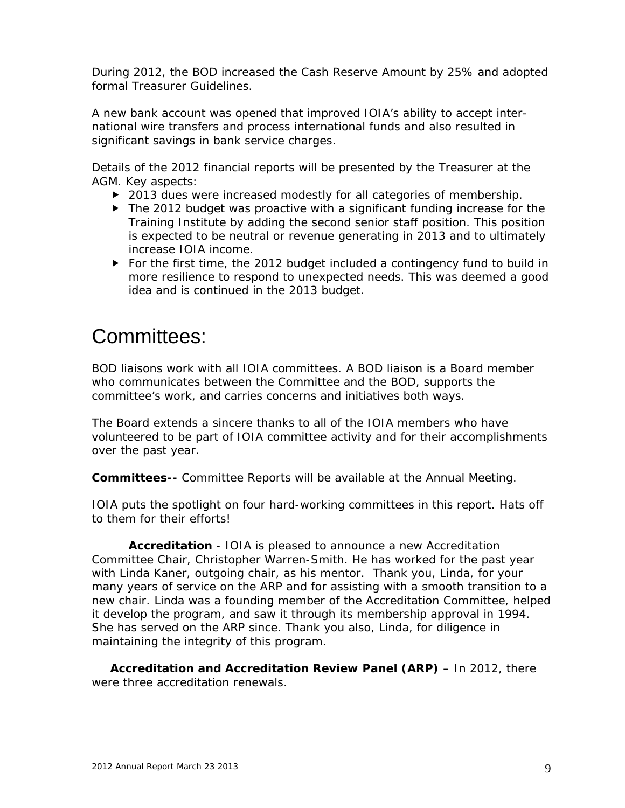During 2012, the BOD increased the Cash Reserve Amount by 25% and adopted formal Treasurer Guidelines.

A new bank account was opened that improved IOIA's ability to accept international wire transfers and process international funds and also resulted in significant savings in bank service charges.

Details of the 2012 financial reports will be presented by the Treasurer at the AGM. Key aspects:

- ▶ 2013 dues were increased modestly for all categories of membership.
- ▶ The 2012 budget was proactive with a significant funding increase for the Training Institute by adding the second senior staff position. This position is expected to be neutral or revenue generating in 2013 and to ultimately increase IOIA income.
- For the first time, the 2012 budget included a contingency fund to build in more resilience to respond to unexpected needs. This was deemed a good idea and is continued in the 2013 budget.

## Committees:

BOD liaisons work with all IOIA committees. A BOD liaison is a Board member who communicates between the Committee and the BOD, supports the committee's work, and carries concerns and initiatives both ways.

The Board extends a sincere thanks to all of the IOIA members who have volunteered to be part of IOIA committee activity and for their accomplishments over the past year.

**Committees--** Committee Reports will be available at the Annual Meeting.

IOIA puts the spotlight on four hard-working committees in this report. Hats off to them for their efforts!

**Accreditation** - IOIA is pleased to announce a new Accreditation Committee Chair, Christopher Warren-Smith. He has worked for the past year with Linda Kaner, outgoing chair, as his mentor. Thank you, Linda, for your many years of service on the ARP and for assisting with a smooth transition to a new chair. Linda was a founding member of the Accreditation Committee, helped it develop the program, and saw it through its membership approval in 1994. She has served on the ARP since. Thank you also, Linda, for diligence in maintaining the integrity of this program.

**Accreditation and Accreditation Review Panel (ARP)** – In 2012, there were three accreditation renewals.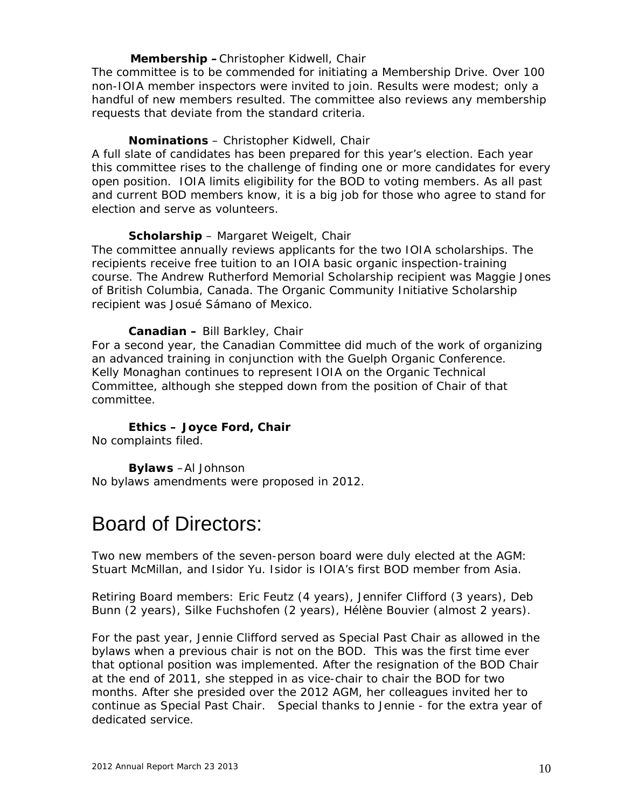### **Membership –**Christopher Kidwell, Chair

The committee is to be commended for initiating a Membership Drive. Over 100 non-IOIA member inspectors were invited to join. Results were modest; only a handful of new members resulted. The committee also reviews any membership requests that deviate from the standard criteria.

### **Nominations** – Christopher Kidwell, Chair

A full slate of candidates has been prepared for this year's election. Each year this committee rises to the challenge of finding one or more candidates for every open position. IOIA limits eligibility for the BOD to voting members. As all past and current BOD members know, it is a big job for those who agree to stand for election and serve as volunteers.

### **Scholarship** – Margaret Weigelt, Chair

The committee annually reviews applicants for the two IOIA scholarships. The recipients receive free tuition to an IOIA basic organic inspection-training course. The Andrew Rutherford Memorial Scholarship recipient was Maggie Jones of British Columbia, Canada. The Organic Community Initiative Scholarship recipient was Josué Sámano of Mexico.

### **Canadian –** Bill Barkley, Chair

For a second year, the Canadian Committee did much of the work of organizing an advanced training in conjunction with the Guelph Organic Conference. Kelly Monaghan continues to represent IOIA on the Organic Technical Committee, although she stepped down from the position of Chair of that committee.

### **Ethics – Joyce Ford, Chair**

No complaints filed.

 **Bylaws** –Al Johnson No bylaws amendments were proposed in 2012.

### Board of Directors:

Two new members of the seven-person board were duly elected at the AGM: Stuart McMillan, and Isidor Yu. Isidor is IOIA's first BOD member from Asia.

Retiring Board members: Eric Feutz (4 years), Jennifer Clifford (3 years), Deb Bunn (2 years), Silke Fuchshofen (2 years), Hélène Bouvier (almost 2 years).

For the past year, Jennie Clifford served as Special Past Chair as allowed in the bylaws when a previous chair is not on the BOD. This was the first time ever that optional position was implemented. After the resignation of the BOD Chair at the end of 2011, she stepped in as vice-chair to chair the BOD for two months. After she presided over the 2012 AGM, her colleagues invited her to continue as Special Past Chair. Special thanks to Jennie - for the extra year of dedicated service.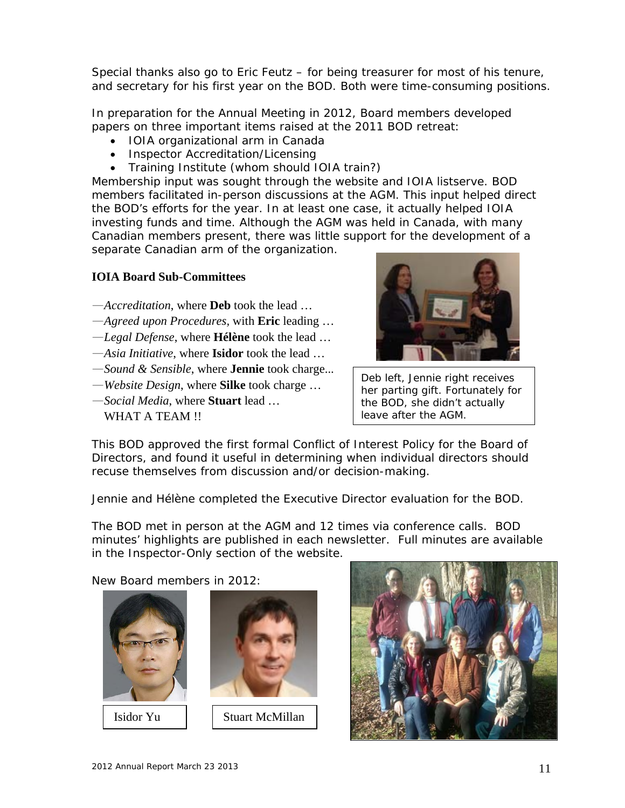Special thanks also go to Eric Feutz – for being treasurer for most of his tenure, and secretary for his first year on the BOD. Both were time-consuming positions.

In preparation for the Annual Meeting in 2012, Board members developed papers on three important items raised at the 2011 BOD retreat:

- IOIA organizational arm in Canada
- Inspector Accreditation/Licensing
- Training Institute (whom should IOIA train?)

Membership input was sought through the website and IOIA listserve. BOD members facilitated in-person discussions at the AGM. This input helped direct the BOD's efforts for the year. In at least one case, it actually helped IOIA investing funds and time. Although the AGM was held in Canada, with many Canadian members present, there was little support for the development of a separate Canadian arm of the organization.

### **IOIA Board Sub-Committees**

- —*Accreditation*, where **Deb** took the lead …
- —*Agreed upon Procedures,* with **Eric** leading …
- —*Legal Defense*, where **Hélène** took the lead …
- —*Asia Initiative*, where **Isidor** took the lead …
- —*Sound & Sensible*, where **Jennie** took charge...
- —*Website Design*, where **Silke** took charge …
- —*Social Media*, where **Stuart** lead …
	- WHAT A TEAM !!



Deb left, Jennie right receives her parting gift. Fortunately for the BOD, she didn't actually leave after the AGM.

This BOD approved the first formal Conflict of Interest Policy for the Board of Directors, and found it useful in determining when individual directors should recuse themselves from discussion and/or decision-making.

Jennie and Hélène completed the Executive Director evaluation for the BOD.

The BOD met in person at the AGM and 12 times via conference calls. BOD minutes' highlights are published in each newsletter. Full minutes are available in the Inspector-Only section of the website.

New Board members in 2012:



Isidor Yu



Stuart McMillan